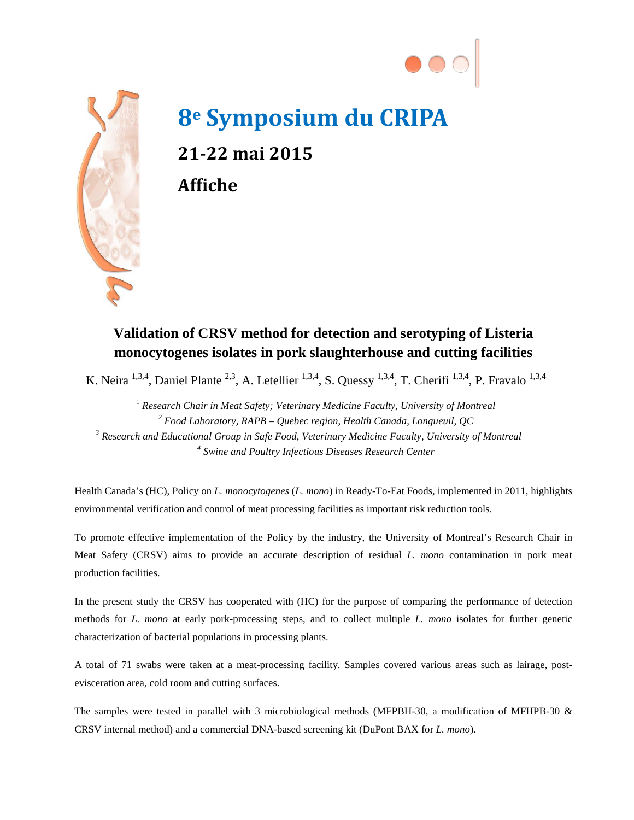



## **8e Symposium du CRIPA 21-22 mai 2015 Affiche**

## **Validation of CRSV method for detection and serotyping of Listeria monocytogenes isolates in pork slaughterhouse and cutting facilities**

K. Neira <sup>1,3,4</sup>, Daniel Plante <sup>2,3</sup>, A. Letellier <sup>1,3,4</sup>, S. Quessy <sup>1,3,4</sup>, T. Cherifi<sup>1,3,4</sup>, P. Fravalo<sup>1,3,4</sup>

<sup>1</sup> Research Chair in Meat Safety; Veterinary Medicine Faculty, University of Montreal *Food Laboratory, RAPB – Quebec region, Health Canada, Longueuil, QC Research and Educational Group in Safe Food, Veterinary Medicine Faculty, University of Montreal Swine and Poultry Infectious Diseases Research Center*

Health Canada's (HC), Policy on *L. monocytogenes* (*L. mono*) in Ready-To-Eat Foods, implemented in 2011, highlights environmental verification and control of meat processing facilities as important risk reduction tools.

To promote effective implementation of the Policy by the industry, the University of Montreal's Research Chair in Meat Safety (CRSV) aims to provide an accurate description of residual *L. mono* contamination in pork meat production facilities.

In the present study the CRSV has cooperated with (HC) for the purpose of comparing the performance of detection methods for *L. mono* at early pork-processing steps, and to collect multiple *L. mono* isolates for further genetic characterization of bacterial populations in processing plants.

A total of 71 swabs were taken at a meat-processing facility. Samples covered various areas such as lairage, postevisceration area, cold room and cutting surfaces.

The samples were tested in parallel with 3 microbiological methods (MFPBH-30, a modification of MFHPB-30 & CRSV internal method) and a commercial DNA-based screening kit (DuPont BAX for *L. mono*).